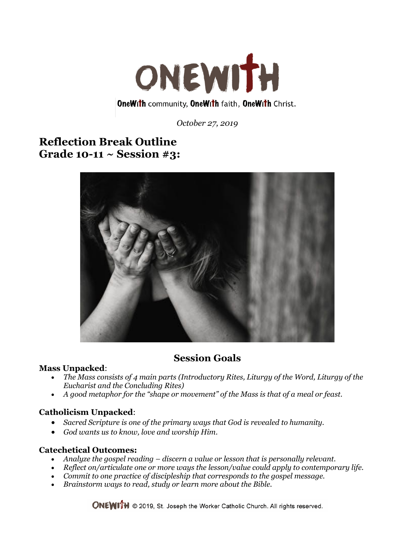

*October 27, 2019*

# **Reflection Break Outline Grade 10-11 ~ Session #3:**



# **Session Goals**

#### **Mass Unpacked**:

- *The Mass consists of 4 main parts (Introductory Rites, Liturgy of the Word, Liturgy of the Eucharist and the Concluding Rites)*
- *A good metaphor for the "shape or movement" of the Mass is that of a meal or feast.*

### **Catholicism Unpacked**:

- *Sacred Scripture is one of the primary ways that God is revealed to humanity.*
- *God wants us to know, love and worship Him.*

### **Catechetical Outcomes:**

- *Analyze the gospel reading – discern a value or lesson that is personally relevant.*
- *Reflect on/articulate one or more ways the lesson/value could apply to contemporary life.*
- *Commit to one practice of discipleship that corresponds to the gospel message.*
- *Brainstorm ways to read, study or learn more about the Bible.*

**ONEWITH** © 2019, St. Joseph the Worker Catholic Church. All rights reserved.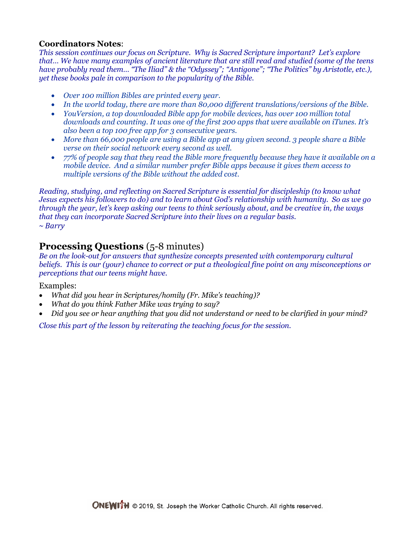## **Coordinators Notes**:

*This session continues our focus on Scripture. Why is Sacred Scripture important? Let's explore that… We have many examples of ancient literature that are still read and studied (some of the teens have probably read them… "The Iliad" & the "Odyssey"; "Antigone"; "The Politics" by Aristotle, etc.), yet these books pale in comparison to the popularity of the Bible.* 

- *Over 100 million Bibles are printed every year.*
- *In the world today, there are more than 80,000 different translations/versions of the Bible.*
- *YouVersion, a top downloaded Bible app for mobile devices, has over 100 million total downloads and counting. It was one of the first 200 apps that were available on iTunes. It's also been a top 100 free app for 3 consecutive years.*
- *More than 66,000 people are using a Bible app at any given second. 3 people share a Bible verse on their social network every second as well.*
- *77% of people say that they read the Bible more frequently because they have it available on a mobile device. And a similar number prefer Bible apps because it gives them access to multiple versions of the Bible without the added cost.*

*Reading, studying, and reflecting on Sacred Scripture is essential for discipleship (to know what Jesus expects his followers to do) and to learn about God's relationship with humanity. So as we go through the year, let's keep asking our teens to think seriously about, and be creative in, the ways that they can incorporate Sacred Scripture into their lives on a regular basis. ~ Barry*

# **Processing Questions** (5-8 minutes)

*Be on the look-out for answers that synthesize concepts presented with contemporary cultural beliefs. This is our (your) chance to correct or put a theological fine point on any misconceptions or perceptions that our teens might have.* 

Examples:

- *What did you hear in Scriptures/homily (Fr. Mike's teaching)?*
- *What do you think Father Mike was trying to say?*
- *Did you see or hear anything that you did not understand or need to be clarified in your mind?*

*Close this part of the lesson by reiterating the teaching focus for the session.*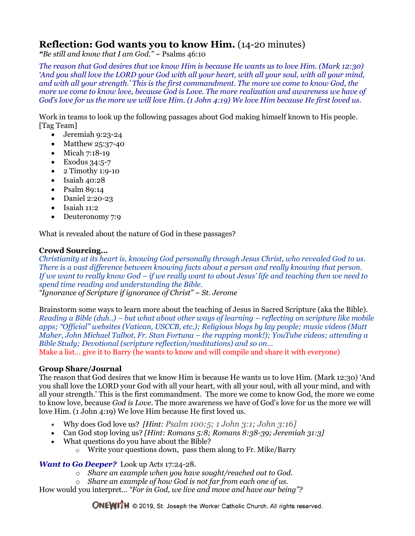# **Reflection: God wants you to know Him.** (14-20 minutes)

*"Be still and know that I am God." ~* Psalms 46:10

*The reason that God desires that we know Him is because He wants us to love Him. (Mark 12:30) 'And you shall love the LORD your God with all your heart, with all your soul, with all your mind, and with all your strength.' This is the first commandment. The more we come to know God, the more we come to know love, because God is Love. The more realization and awareness we have of God's love for us the more we will love Him. (1 John 4:19) We love Him because He first loved us.*

Work in teams to look up the following passages about God making himself known to His people. [Tag Team]

- Jeremiah 9:23-24
- Matthew 25:37-40
- Micah 7:18-19
- Exodus 34:5-7
- $\bullet$  2 Timothy 1:9-10
- $\bullet$  Isaiah 40:28
- Psalm 89:14
- Daniel 2:20-23
- $\bullet$  Isaiah 11:2
- Deuteronomy 7:9

What is revealed about the nature of God in these passages?

#### **Crowd Sourcing…**

*Christianity at its heart is, knowing God personally through Jesus Christ, who revealed God to us. There is a vast difference between knowing facts about a person and really knowing that person. If we want to really know God – if we really want to about Jesus' life and teaching then we need to spend time reading and understanding the Bible. "Ignorance of Scripture if ignorance of Christ" ~ St. Jerome*

Brainstorm some ways to learn more about the teaching of Jesus in Sacred Scripture (aka the Bible). *Reading a Bible (duh..) – but what about other ways of learning – reflecting on scripture like mobile apps; "Official" websites (Vatican, USCCB, etc.); Religious blogs by lay people; music videos (Matt Maher, John Michael Talbot, Fr. Stan Fortuna – the rapping monk!); YouTube videos; attending a Bible Study; Devotional (scripture reflection/meditations) and so on…* Make a list… give it to Barry (he wants to know and will compile and share it with everyone)

#### **Group Share/Journal**

The reason that God desires that we know Him is because He wants us to love Him. (Mark 12:30) 'And you shall love the LORD your God with all your heart, with all your soul, with all your mind, and with all your strength.' This is the first commandment. The more we come to know God, the more we come to know love, because *God is Love*. The more awareness we have of God's love for us the more we will love Him. (1 John 4:19) We love Him because He first loved us.

- Why does God love us? *[Hint: Psalm 100:5; 1 John 3:1; John 3:16]*
- Can God stop loving us? *[Hint: Romans 5:8; Romans 8:38-39; Jeremiah 31:3]*
- What questions do you have about the Bible?
	- o Write your questions down, pass them along to Fr. Mike/Barry

### *Want to Go Deeper?* Look up Acts 17:24-28.

- o *Share an example when you have sought/reached out to God.*
- o *Share an example of how God is not far from each one of us.*

How would you interpret*… "For in God, we live and move and have our being"?*

**ONEWITH** © 2019, St. Joseph the Worker Catholic Church. All rights reserved.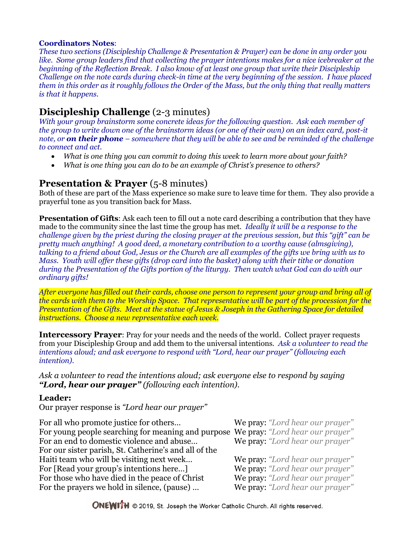#### **Coordinators Notes**:

*These two sections (Discipleship Challenge & Presentation & Prayer) can be done in any order you like. Some group leaders find that collecting the prayer intentions makes for a nice icebreaker at the beginning of the Reflection Break. I also know of at least one group that write their Discipleship Challenge on the note cards during check-in time at the very beginning of the session. I have placed them in this order as it roughly follows the Order of the Mass, but the only thing that really matters is that it happens.*

# **Discipleship Challenge** (2-3 minutes)

*With your group brainstorm some concrete ideas for the following question. Ask each member of the group to write down one of the brainstorm ideas (or one of their own) on an index card, post-it note, or on their phone – somewhere that they will be able to see and be reminded of the challenge to connect and act.*

- *What is one thing you can commit to doing this week to learn more about your faith?*
- *What is one thing you can do to be an example of Christ's presence to others?*

## **Presentation & Prayer** (5-8 minutes)

Both of these are part of the Mass experience so make sure to leave time for them. They also provide a prayerful tone as you transition back for Mass.

**Presentation of Gifts**: Ask each teen to fill out a note card describing a contribution that they have made to the community since the last time the group has met. *Ideally it will be a response to the challenge given by the priest during the closing prayer at the previous session, but this "gift" can be pretty much anything! A good deed, a monetary contribution to a worthy cause (almsgiving), talking to a friend about God, Jesus or the Church are all examples of the gifts we bring with us to Mass. Youth will offer these gifts (drop card into the basket) along with their tithe or donation during the Presentation of the Gifts portion of the liturgy. Then watch what God can do with our ordinary gifts!*

*After everyone has filled out their cards, choose one person to represent your group and bring all of the cards with them to the Worship Space. That representative will be part of the procession for the Presentation of the Gifts. Meet at the statue of Jesus & Joseph in the Gathering Space for detailed instructions. Choose a new representative each week.*

**Intercessory Prayer**: Pray for your needs and the needs of the world. Collect prayer requests from your Discipleship Group and add them to the universal intentions. *Ask a volunteer to read the intentions aloud; and ask everyone to respond with "Lord, hear our prayer" (following each intention).*

*Ask a volunteer to read the intentions aloud; ask everyone else to respond by saying "Lord, hear our prayer" (following each intention).*

### **Leader:**

Our prayer response is *"Lord hear our prayer"*

| For all who promote justice for others<br>For young people searching for meaning and purpose We pray: "Lord hear our prayer"<br>For an end to domestic violence and abuse | We pray: "Lord hear our prayer"<br>We pray: "Lord hear our prayer" |
|---------------------------------------------------------------------------------------------------------------------------------------------------------------------------|--------------------------------------------------------------------|
| For our sister parish, St. Catherine's and all of the                                                                                                                     |                                                                    |
| Haiti team who will be visiting next week                                                                                                                                 | We pray: "Lord hear our prayer"                                    |
| For [Read your group's intentions here]                                                                                                                                   | We pray: "Lord hear our prayer"                                    |
| For those who have died in the peace of Christ                                                                                                                            | We pray: "Lord hear our prayer"                                    |
| For the prayers we hold in silence, (pause)                                                                                                                               | We pray: "Lord hear our prayer"                                    |

**ONEWITH** © 2019, St. Joseph the Worker Catholic Church. All rights reserved.